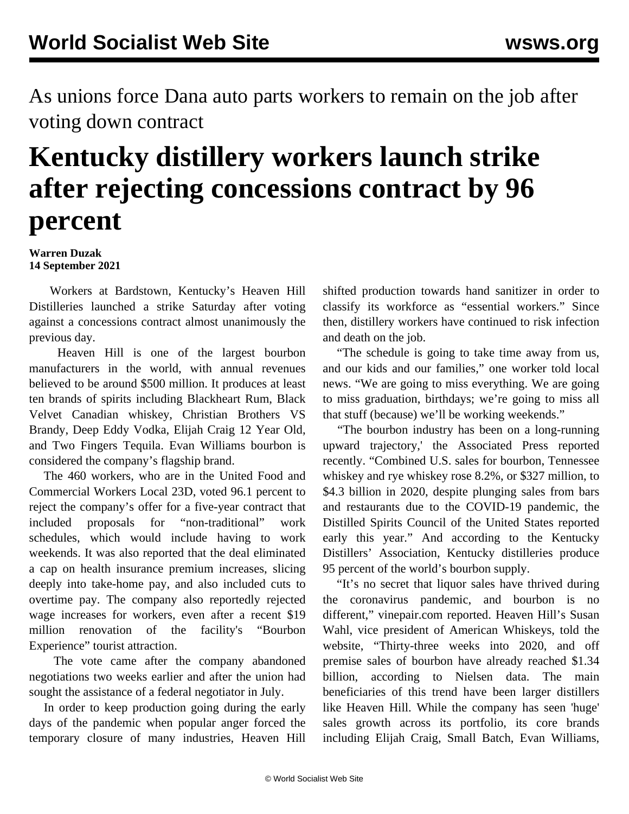As unions force Dana auto parts workers to remain on the job after voting down contract

## **Kentucky distillery workers launch strike after rejecting concessions contract by 96 percent**

## **Warren Duzak 14 September 2021**

 Workers at Bardstown, Kentucky's Heaven Hill Distilleries launched a strike Saturday after voting against a concessions contract almost unanimously the previous day.

 Heaven Hill is one of the largest bourbon manufacturers in the world, with annual revenues believed to be around \$500 million. It produces at least ten brands of spirits including Blackheart Rum, Black Velvet Canadian whiskey, Christian Brothers VS Brandy, Deep Eddy Vodka, Elijah Craig 12 Year Old, and Two Fingers Tequila. Evan Williams bourbon is considered the company's flagship brand.

 The 460 workers, who are in the United Food and Commercial Workers Local 23D, voted 96.1 percent to reject the company's offer for a five-year contract that included proposals for "non-traditional" work schedules, which would include having to work weekends. It was also reported that the deal eliminated a cap on health insurance premium increases, slicing deeply into take-home pay, and also included cuts to overtime pay. The company also reportedly rejected wage increases for workers, even after a recent \$19 million renovation of the facility's "Bourbon Experience" tourist attraction.

 The vote came after the company abandoned negotiations two weeks earlier and after the union had sought the assistance of a federal negotiator in July.

 In order to keep production going during the early days of the pandemic when popular anger forced the temporary closure of many industries, Heaven Hill

shifted production towards hand sanitizer in order to classify its workforce as "essential workers." Since then, distillery workers have continued to risk infection and death on the job.

 "The schedule is going to take time away from us, and our kids and our families," one worker told local news. "We are going to miss everything. We are going to miss graduation, birthdays; we're going to miss all that stuff (because) we'll be working weekends."

 "The bourbon industry has been on a long-running upward trajectory,' the Associated Press reported recently. "Combined U.S. sales for bourbon, Tennessee whiskey and rye whiskey rose 8.2%, or \$327 million, to \$4.3 billion in 2020, despite plunging sales from bars and restaurants due to the COVID-19 pandemic, the Distilled Spirits Council of the United States reported early this year." And according to the Kentucky Distillers' Association, Kentucky distilleries produce 95 percent of the world's bourbon supply.

 "It's no secret that liquor sales have thrived during the coronavirus pandemic, and bourbon is no different," vinepair.com reported. Heaven Hill's Susan Wahl, vice president of American Whiskeys, told the website, "Thirty-three weeks into 2020, and off premise sales of bourbon have already reached \$1.34 billion, according to Nielsen data. The main beneficiaries of this trend have been larger distillers like Heaven Hill. While the company has seen 'huge' sales growth across its portfolio, its core brands including Elijah Craig, Small Batch, Evan Williams,